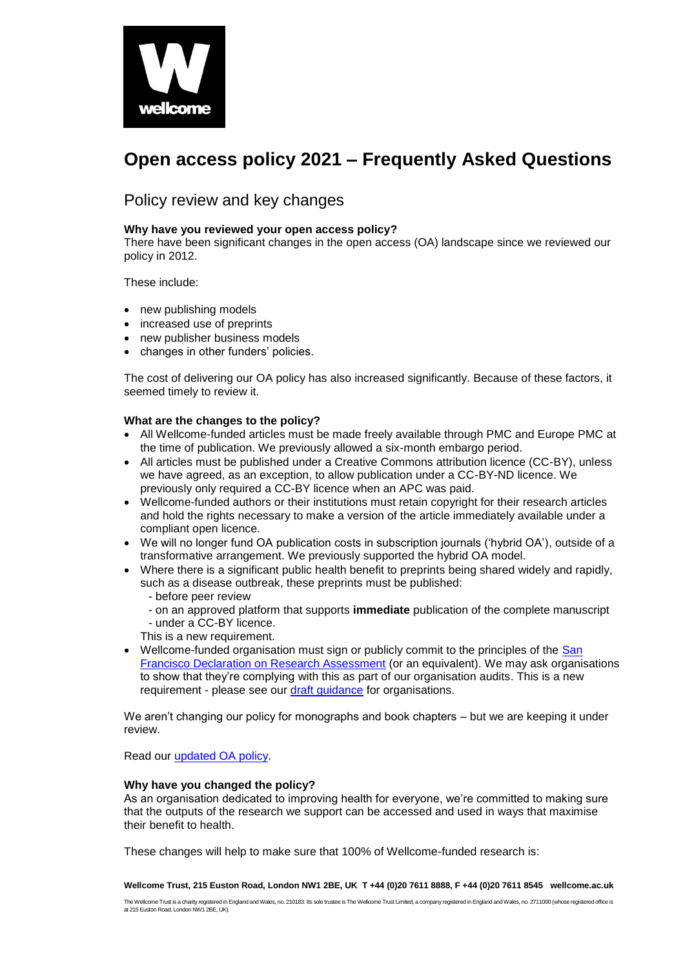

# **Open access policy 2021 – Frequently Asked Questions**

# Policy review and key changes

#### **Why have you reviewed your open access policy?**

There have been significant changes in the open access (OA) landscape since we reviewed our policy in 2012.

These include:

- new publishing models
- increased use of preprints
- new publisher business models
- changes in other funders' policies.

The cost of delivering our OA policy has also increased significantly. Because of these factors, it seemed timely to review it.

#### **What are the changes to the policy?**

- All Wellcome-funded articles must be made freely available through PMC and Europe PMC at the time of publication. We previously allowed a six-month embargo period.
- All articles must be published under a Creative Commons attribution licence (CC-BY), unless we have agreed, as an exception, to allow publication under a CC-BY-ND licence. We previously only required a CC-BY licence when an APC was paid.
- Wellcome-funded authors or their institutions must retain copyright for their research articles and hold the rights necessary to make a version of the article immediately available under a compliant open licence.
- We will no longer fund OA publication costs in subscription journals ('hybrid OA'), outside of a transformative arrangement. We previously supported the hybrid OA model.
- Where there is a significant public health benefit to preprints being shared widely and rapidly, such as a disease outbreak, these preprints must be published:
	- before peer review
	- on an approved platform that supports **immediate** publication of the complete manuscript - under a CC-BY licence.
	- This is a new requirement.
- Wellcome-funded organisation must sign or publicly commit to the principles of the San [Francisco Declaration on Research Assessment](https://sfdora.org/) (or an equivalent). We may ask organisations to show that they're complying with this as part of our organisation audits. This is a new requirement - please see our *draft quidance* for organisations.

We aren't changing our policy for monographs and book chapters – but we are keeping it under review.

Read our [updated OA policy.](https://wellcome.ac.uk/sites/default/files/wellcome-open-access-policy-2021.pdf)

#### **Why have you changed the policy?**

As an organisation dedicated to improving health for everyone, we're committed to making sure that the outputs of the research we support can be accessed and used in ways that maximise their benefit to health.

These changes will help to make sure that 100% of Wellcome-funded research is: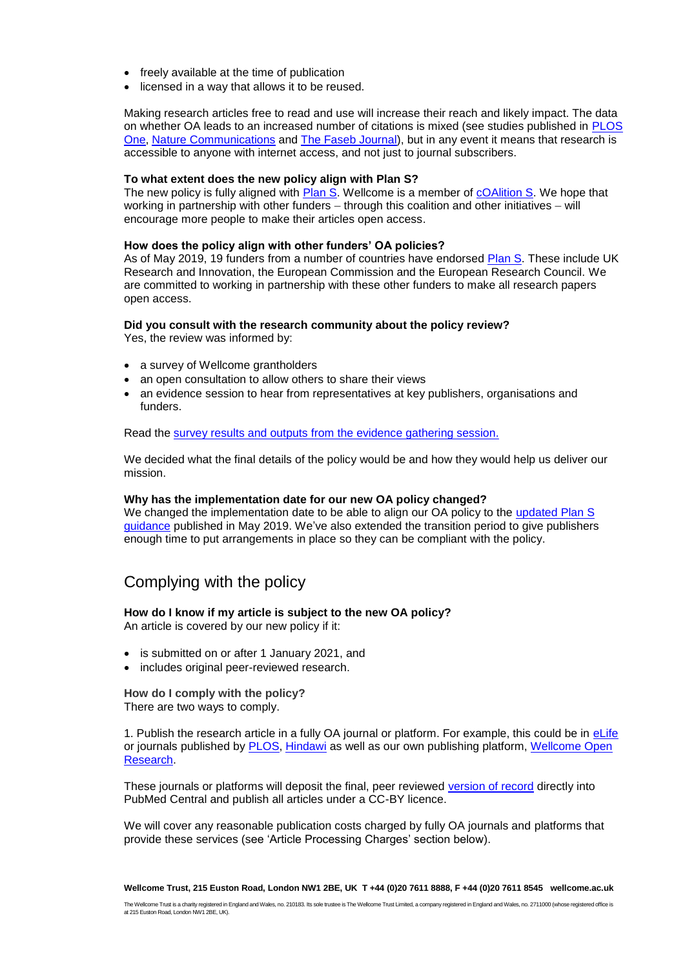- freely available at the time of publication
- licensed in a way that allows it to be reused.

Making research articles free to read and use will increase their reach and likely impact. The data on whether OA leads to an increased number of citations is mixed (see studies published in [PLOS](https://journals.plos.org/plosone/article?id=10.1371/journal.pone.0159614)  [One,](https://journals.plos.org/plosone/article?id=10.1371/journal.pone.0159614) [Nature Communications](https://www.nature.com/press_releases/ncomms-report2014.pdf) and [The Faseb Journal\)](https://www.fasebj.org/doi/abs/10.1096/fj.11-183988), but in any event it means that research is accessible to anyone with internet access, and not just to journal subscribers.

#### **To what extent does the new policy align with Plan S?**

The new policy is fully aligned with **Plan S**. Wellcome is a member of **cOAlition S**. We hope that working in partnership with other funders – through this coalition and other initiatives – will encourage more people to make their articles open access.

#### **How does the policy align with other funders' OA policies?**

As of May 2019, 19 funders from a number of countries have endorsed [Plan S.](https://www.scienceeurope.org/wp-content/uploads/2018/09/Plan_S.pdf) These include UK Research and Innovation, the European Commission and the European Research Council. We are committed to working in partnership with these other funders to make all research papers open access.

#### **Did you consult with the research community about the policy review?**

Yes, the review was informed by:

- a survey of Wellcome grantholders
- an open consultation to allow others to share their views
- an evidence session to hear from representatives at key publishers, organisations and funders.

Read the [survey results and outputs from the evidence gathering session.](https://doi.org/10.6084/m9.figshare.6887345)

We decided what the final details of the policy would be and how they would help us deliver our mission.

#### **Why has the implementation date for our new OA policy changed?**

We changed the implementation date to be able to align our OA policy to the updated Plan S [guidance](https://www.coalition-s.org/revised-implementation-guidance/) published in May 2019. We've also extended the transition period to give publishers enough time to put arrangements in place so they can be compliant with the policy.

# Complying with the policy

#### **How do I know if my article is subject to the new OA policy?**

An article is covered by our new policy if it:

- is submitted on or after 1 January 2021, and
- includes original peer-reviewed research.

#### **How do I comply with the policy?** There are two ways to comply.

1. Publish the research article in a fully OA journal or platform. For example, this could be in [eLife](https://elifesciences.org/) or journals published by [PLOS,](https://www.plos.org/) [Hindawi](https://www.hindawi.com/) as well as our own publishing platform, [Wellcome Open](https://wellcomeopenresearch.org/)  [Research.](https://wellcomeopenresearch.org/)

These journals or platforms will deposit the final, peer reviewed [version of record](https://www.niso.org/sites/default/files/2017-08/RP-8-2008.pdf) directly into PubMed Central and publish all articles under a CC-BY licence.

We will cover any reasonable publication costs charged by fully OA journals and platforms that provide these services (see 'Article Processing Charges' section below).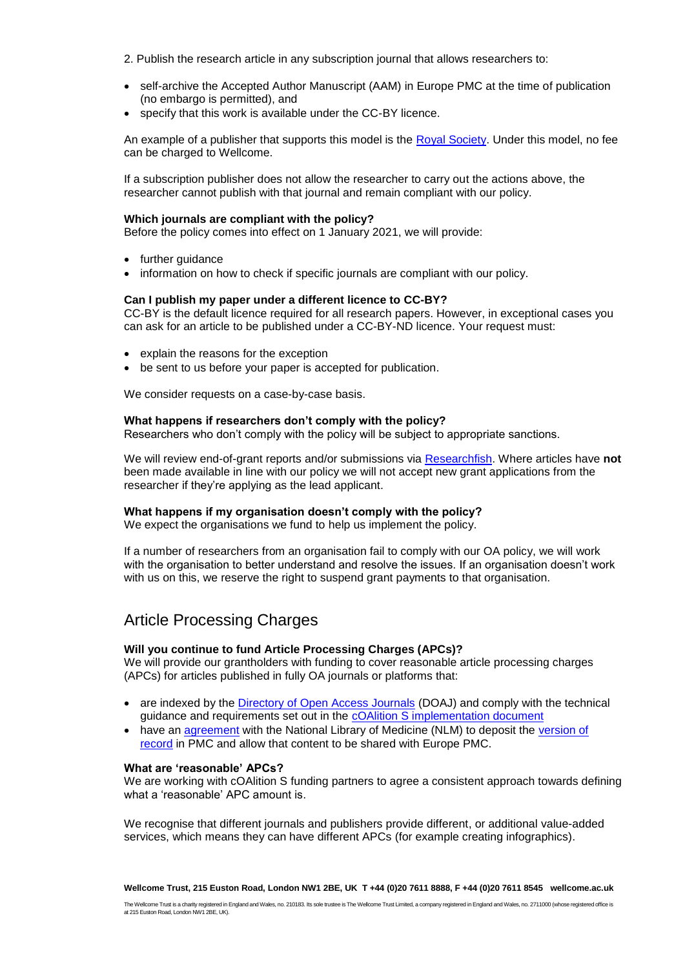- 2. Publish the research article in any subscription journal that allows researchers to:
- self-archive the Accepted Author Manuscript (AAM) in Europe PMC at the time of publication (no embargo is permitted), and
- specify that this work is available under the CC-BY licence.

An example of a publisher that supports this model is the [Royal Society.](https://royalsociety.org/~/media/journals/author/Royal-Society-Licence-to-Publish-12102018.pdf?la=en-GB) Under this model, no fee can be charged to Wellcome.

If a subscription publisher does not allow the researcher to carry out the actions above, the researcher cannot publish with that journal and remain compliant with our policy.

#### **Which journals are compliant with the policy?**

Before the policy comes into effect on 1 January 2021, we will provide:

- further quidance
- information on how to check if specific journals are compliant with our policy.

#### **Can I publish my paper under a different licence to CC-BY?**

CC-BY is the default licence required for all research papers. However, in exceptional cases you can ask for an article to be published under a CC-BY-ND licence. Your request must:

- explain the reasons for the exception
- be sent to us before your paper is accepted for publication.

We consider requests on a case-by-case basis.

#### **What happens if researchers don't comply with the policy?**

Researchers who don't comply with the policy will be subject to appropriate sanctions.

We will review end-of-grant reports and/or submissions via [Researchfish.](https://www.researchfish.net/) Where articles have **not** been made available in line with our policy we will not accept new grant applications from the researcher if they're applying as the lead applicant.

#### **What happens if my organisation doesn't comply with the policy?**

We expect the organisations we fund to help us implement the policy.

If a number of researchers from an organisation fail to comply with our OA policy, we will work with the organisation to better understand and resolve the issues. If an organisation doesn't work with us on this, we reserve the right to suspend grant payments to that organisation.

# Article Processing Charges

#### **Will you continue to fund Article Processing Charges (APCs)?**

We will provide our grantholders with funding to cover reasonable article processing charges (APCs) for articles published in fully OA journals or platforms that:

- are indexed by the *Directory of Open Access Journals* (DOAJ) and comply with the technical guidance and requirements set out in the [cOAlition S implementation document](https://www.coalition-s.org/revised-implementation-guidance/)
- have an [agreement](https://www.ncbi.nlm.nih.gov/pmc/pub/agreements/) with the National Library of Medicine (NLM) to deposit the version of [record](https://www.niso.org/sites/default/files/2017-08/RP-8-2008.pdf) in PMC and allow that content to be shared with Europe PMC.

#### **What are 'reasonable' APCs?**

We are working with cOAlition S funding partners to agree a consistent approach towards defining what a 'reasonable' APC amount is.

We recognise that different journals and publishers provide different, or additional value-added services, which means they can have different APCs (for example creating infographics).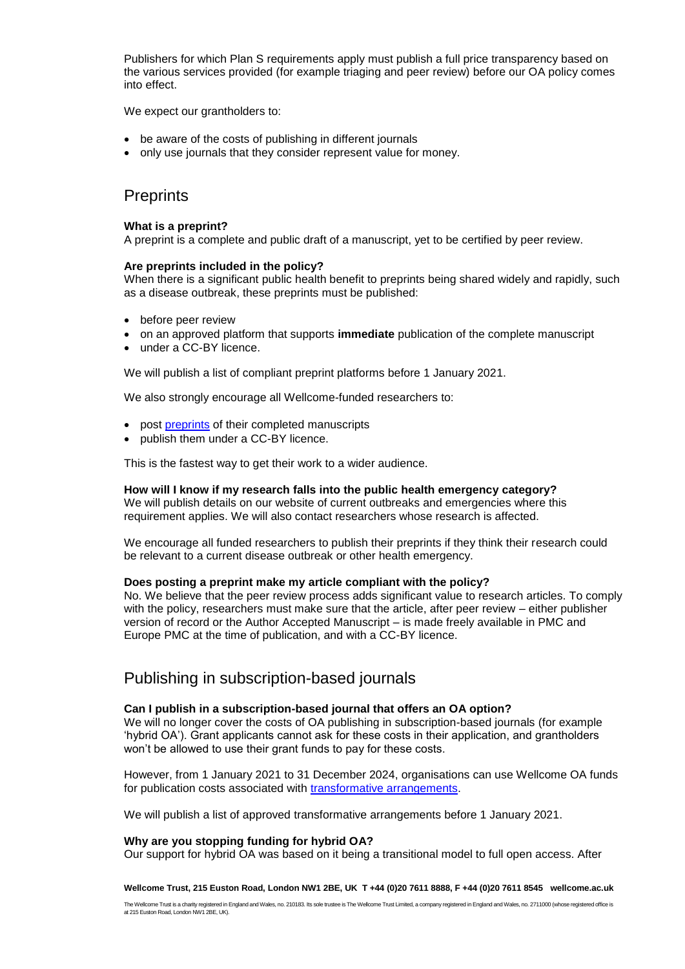Publishers for which Plan S requirements apply must publish a full price transparency based on the various services provided (for example triaging and peer review) before our OA policy comes into effect.

We expect our grantholders to:

- be aware of the costs of publishing in different journals
- only use journals that they consider represent value for money.

## **Preprints**

#### **What is a preprint?**

A preprint is a complete and public draft of a manuscript, yet to be certified by peer review.

#### **Are preprints included in the policy?**

When there is a significant public health benefit to preprints being shared widely and rapidly, such as a disease outbreak, these preprints must be published:

- before peer review
- on an approved platform that supports **immediate** publication of the complete manuscript
- under a CC-BY licence.

We will publish a list of compliant preprint platforms before 1 January 2021.

We also strongly encourage all Wellcome-funded researchers to:

- post [preprints](https://en.wikipedia.org/wiki/Preprint) of their completed manuscripts
- publish them under a CC-BY licence.

This is the fastest way to get their work to a wider audience.

#### **How will I know if my research falls into the public health emergency category?**

We will publish details on our website of current outbreaks and emergencies where this requirement applies. We will also contact researchers whose research is affected.

We encourage all funded researchers to publish their preprints if they think their research could be relevant to a current disease outbreak or other health emergency.

#### **Does posting a preprint make my article compliant with the policy?**

No. We believe that the peer review process adds significant value to research articles. To comply with the policy, researchers must make sure that the article, after peer review – either publisher version of record or the Author Accepted Manuscript – is made freely available in PMC and Europe PMC at the time of publication, and with a CC-BY licence.

### Publishing in subscription-based journals

#### **Can I publish in a subscription-based journal that offers an OA option?**

We will no longer cover the costs of OA publishing in subscription-based journals (for example 'hybrid OA'). Grant applicants cannot ask for these costs in their application, and grantholders won't be allowed to use their grant funds to pay for these costs.

However, from 1 January 2021 to 31 December 2024, organisations can use Wellcome OA funds for publication costs associated with [transformative arrangements.](https://www.jisc-collections.ac.uk/Transformative-OA-Reqs/)

We will publish a list of approved transformative arrangements before 1 January 2021.

#### **Why are you stopping funding for hybrid OA?**

Our support for hybrid OA was based on it being a transitional model to full open access. After

**Wellcome Trust, 215 Euston Road, London NW1 2BE, UK T +44 (0)20 7611 8888, F +44 (0)20 7611 8545 wellcome.ac.uk**

The Wellcome Trust is a charity registered in England and Wales, no. 210183. Its sole trustee is The Wellcome Trust Limited, a company registered in England and Wales, no. 2711000 (whose registered office is at 215 Euston Road, London NW1 2BE, UK).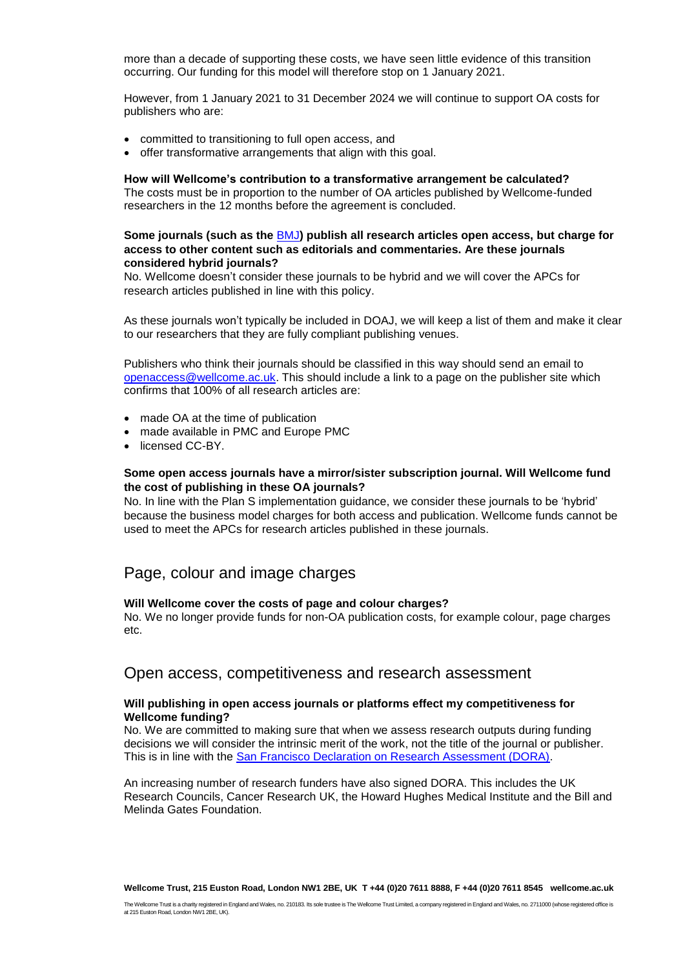more than a decade of supporting these costs, we have seen little evidence of this transition occurring. Our funding for this model will therefore stop on 1 January 2021.

However, from 1 January 2021 to 31 December 2024 we will continue to support OA costs for publishers who are:

- committed to transitioning to full open access, and
- offer transformative arrangements that align with this goal.

#### **How will Wellcome's contribution to a transformative arrangement be calculated?**

The costs must be in proportion to the number of OA articles published by Wellcome-funded researchers in the 12 months before the agreement is concluded.

#### **Some journals (such as the** [BMJ](https://www.bmj.com/about-bmj/resources-authors/forms-policies-and-checklists/copyright-open-access-and-permission-reuse)**) publish all research articles open access, but charge for access to other content such as editorials and commentaries. Are these journals considered hybrid journals?**

No. Wellcome doesn't consider these journals to be hybrid and we will cover the APCs for research articles published in line with this policy.

As these journals won't typically be included in DOAJ, we will keep a list of them and make it clear to our researchers that they are fully compliant publishing venues.

Publishers who think their journals should be classified in this way should send an email to [openaccess@wellcome.ac.uk.](mailto:openaccess@wellcome.ac.uk) This should include a link to a page on the publisher site which confirms that 100% of all research articles are:

- made OA at the time of publication
- made available in PMC and Europe PMC
- licensed CC-BY.

#### **Some open access journals have a mirror/sister subscription journal. Will Wellcome fund the cost of publishing in these OA journals?**

No. In line with the Plan S implementation guidance, we consider these journals to be 'hybrid' because the business model charges for both access and publication. Wellcome funds cannot be used to meet the APCs for research articles published in these journals.

### Page, colour and image charges

#### **Will Wellcome cover the costs of page and colour charges?**

No. We no longer provide funds for non-OA publication costs, for example colour, page charges etc.

### Open access, competitiveness and research assessment

#### **Will publishing in open access journals or platforms effect my competitiveness for Wellcome funding?**

No. We are committed to making sure that when we assess research outputs during funding decisions we will consider the intrinsic merit of the work, not the title of the journal or publisher. This is in line with the [San Francisco Declaration on Research Assessment \(DORA\).](https://sfdora.org/)

An increasing number of research funders have also signed DORA. This includes the UK Research Councils, Cancer Research UK, the Howard Hughes Medical Institute and the Bill and Melinda Gates Foundation.